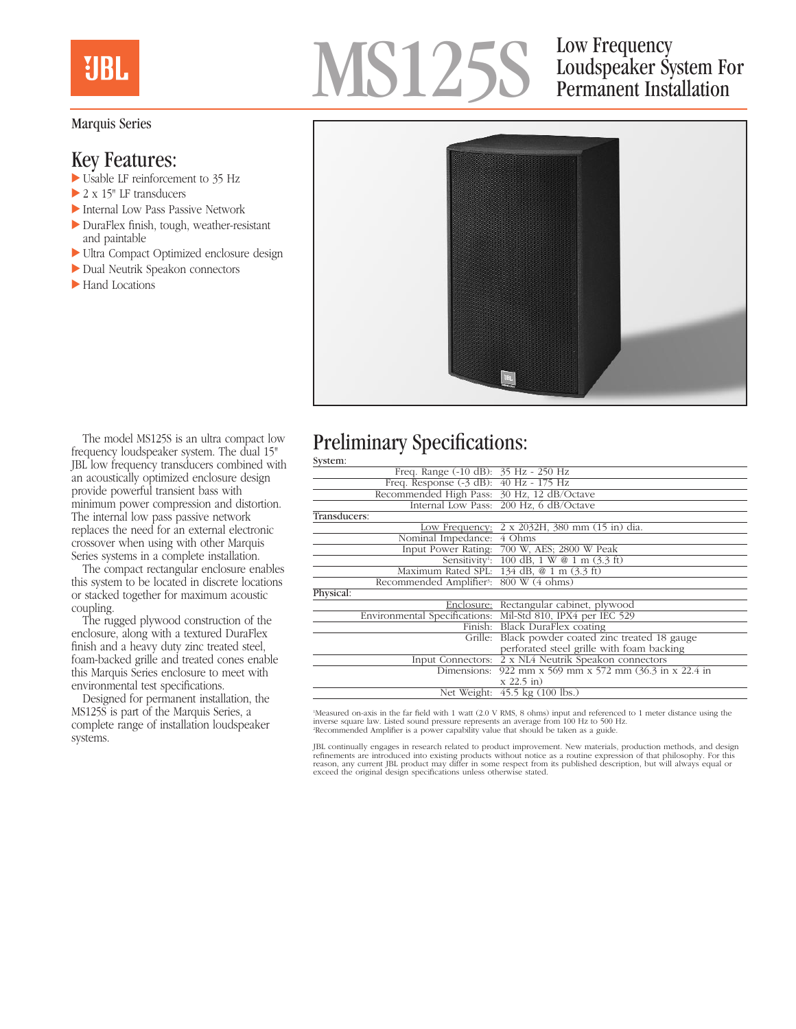## **UBL**

#### Marquis Series

### Key Features:

- $\triangleright$  Usable LF reinforcement to 35 Hz
- $\geq 2 \times 15$ " LF transducers
- Internal Low Pass Passive Network
- $\blacktriangleright$  DuraFlex finish, tough, weather-resistant and paintable
- $\blacktriangleright$  Ultra Compact Optimized enclosure design
- Dual Neutrik Speakon connectors
- $\blacktriangleright$  Hand Locations

# MS125S

## Loudspeaker System For Permanent Installation



The model MS125S is an ultra compact low frequency loudspeaker system. The dual 15" JBL low frequency transducers combined with an acoustically optimized enclosure design provide powerful transient bass with minimum power compression and distortion. The internal low pass passive network replaces the need for an external electronic crossover when using with other Marquis Series systems in a complete installation.

The compact rectangular enclosure enables this system to be located in discrete locations or stacked together for maximum acoustic coupling.

The rugged plywood construction of the enclosure, along with a textured DuraFlex finish and a heavy duty zinc treated steel, foam-backed grille and treated cones enable this Marquis Series enclosure to meet with environmental test specifications.

Designed for permanent installation, the MS125S is part of the Marquis Series, a complete range of installation loudspeaker systems.

### Preliminary Specifications:

| System:                                             |                                                                                                                                                                                                                                                                                                                    |
|-----------------------------------------------------|--------------------------------------------------------------------------------------------------------------------------------------------------------------------------------------------------------------------------------------------------------------------------------------------------------------------|
| Freq. Range (-10 dB): 35 Hz - 250 Hz                |                                                                                                                                                                                                                                                                                                                    |
| Freq. Response (-3 dB): 40 Hz - 175 Hz              |                                                                                                                                                                                                                                                                                                                    |
| Recommended High Pass: 30 Hz, 12 dB/Octave          |                                                                                                                                                                                                                                                                                                                    |
|                                                     | Internal Low Pass: 200 Hz, 6 dB/Octave                                                                                                                                                                                                                                                                             |
| Transducers:                                        |                                                                                                                                                                                                                                                                                                                    |
|                                                     | Low Frequency: 2 x 2032H, 380 mm (15 in) dia.                                                                                                                                                                                                                                                                      |
| Nominal Impedance: 4 Ohms                           |                                                                                                                                                                                                                                                                                                                    |
|                                                     | Input Power Rating: 700 W, AES; 2800 W Peak                                                                                                                                                                                                                                                                        |
|                                                     | Sensitivity <sup>1</sup> : 100 dB, 1 W @ 1 m $(3.3 \text{ ft})$                                                                                                                                                                                                                                                    |
|                                                     | Maximum Rated SPL: 134 dB, @ 1 m (3.3 ft)                                                                                                                                                                                                                                                                          |
| Recommended Amplifier <sup>3</sup> : 800 W (4 ohms) |                                                                                                                                                                                                                                                                                                                    |
| Physical:                                           |                                                                                                                                                                                                                                                                                                                    |
|                                                     | Enclosure: Rectangular cabinet, plywood                                                                                                                                                                                                                                                                            |
|                                                     |                                                                                                                                                                                                                                                                                                                    |
|                                                     |                                                                                                                                                                                                                                                                                                                    |
|                                                     |                                                                                                                                                                                                                                                                                                                    |
|                                                     |                                                                                                                                                                                                                                                                                                                    |
|                                                     |                                                                                                                                                                                                                                                                                                                    |
|                                                     |                                                                                                                                                                                                                                                                                                                    |
|                                                     | $x 22.5$ in)                                                                                                                                                                                                                                                                                                       |
|                                                     | Net Weight: 45.5 kg (100 lbs.)                                                                                                                                                                                                                                                                                     |
|                                                     | Environmental Specifications: Mil-Std 810, IPX4 per IEC 529<br>Finish: Black DuraFlex coating<br>Grille: Black powder coated zinc treated 18 gauge<br>perforated steel grille with foam backing<br>Input Connectors: 2 x NL4 Neutrik Speakon connectors<br>Dimensions: 922 mm x 569 mm x 572 mm (36.3 in x 22.4 in |

'Measured on-axis in the far field with 1 watt (2.0 V RMS, 8 ohms) input and referenced to 1 meter distance using the<br>inverse square law. Listed sound pressure represents an average from 100 Hz to 500 Hz.<br>'Recommended Ampl

JBL continually engages in research related to product improvement. New materials, production methods, and design<br>refinements are introduced into existing products without notice as a routine expression of that philosophy.